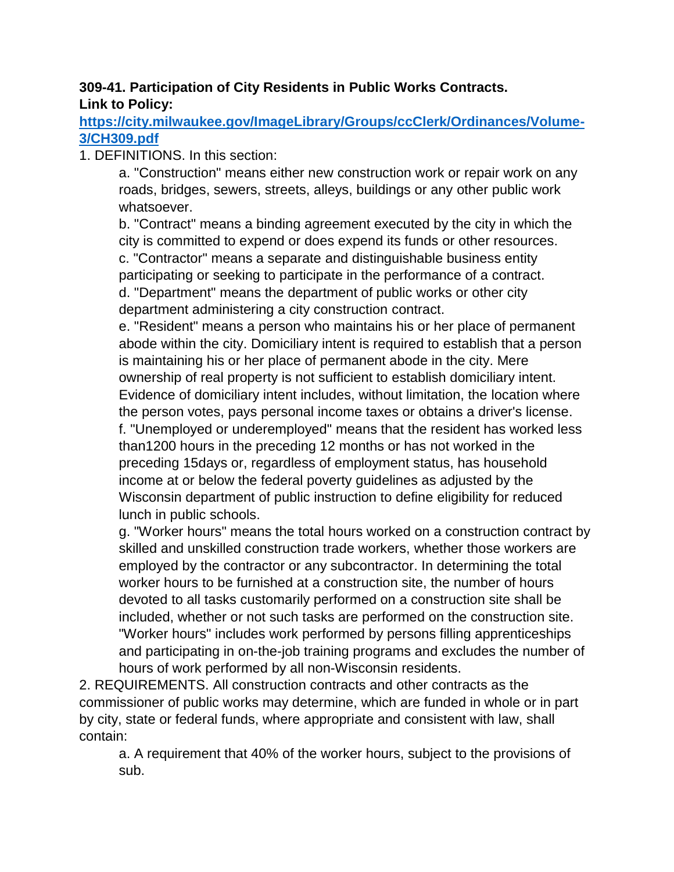## **309-41. Participation of City Residents in Public Works Contracts. Link to Policy:**

**[https://city.milwaukee.gov/ImageLibrary/Groups/ccClerk/Ordinances/Volume-](https://city.milwaukee.gov/ImageLibrary/Groups/ccClerk/Ordinances/Volume-3/CH309.pdf)[3/CH309.pdf](https://city.milwaukee.gov/ImageLibrary/Groups/ccClerk/Ordinances/Volume-3/CH309.pdf)**

1. DEFINITIONS. In this section:

a. "Construction" means either new construction work or repair work on any roads, bridges, sewers, streets, alleys, buildings or any other public work whatsoever.

b. "Contract" means a binding agreement executed by the city in which the city is committed to expend or does expend its funds or other resources. c. "Contractor" means a separate and distinguishable business entity participating or seeking to participate in the performance of a contract. d. "Department" means the department of public works or other city department administering a city construction contract.

e. "Resident" means a person who maintains his or her place of permanent abode within the city. Domiciliary intent is required to establish that a person is maintaining his or her place of permanent abode in the city. Mere ownership of real property is not sufficient to establish domiciliary intent. Evidence of domiciliary intent includes, without limitation, the location where the person votes, pays personal income taxes or obtains a driver's license. f. "Unemployed or underemployed" means that the resident has worked less than1200 hours in the preceding 12 months or has not worked in the preceding 15days or, regardless of employment status, has household income at or below the federal poverty guidelines as adjusted by the Wisconsin department of public instruction to define eligibility for reduced lunch in public schools.

g. "Worker hours" means the total hours worked on a construction contract by skilled and unskilled construction trade workers, whether those workers are employed by the contractor or any subcontractor. In determining the total worker hours to be furnished at a construction site, the number of hours devoted to all tasks customarily performed on a construction site shall be included, whether or not such tasks are performed on the construction site. "Worker hours" includes work performed by persons filling apprenticeships and participating in on-the-job training programs and excludes the number of hours of work performed by all non-Wisconsin residents.

2. REQUIREMENTS. All construction contracts and other contracts as the commissioner of public works may determine, which are funded in whole or in part by city, state or federal funds, where appropriate and consistent with law, shall contain:

a. A requirement that 40% of the worker hours, subject to the provisions of sub.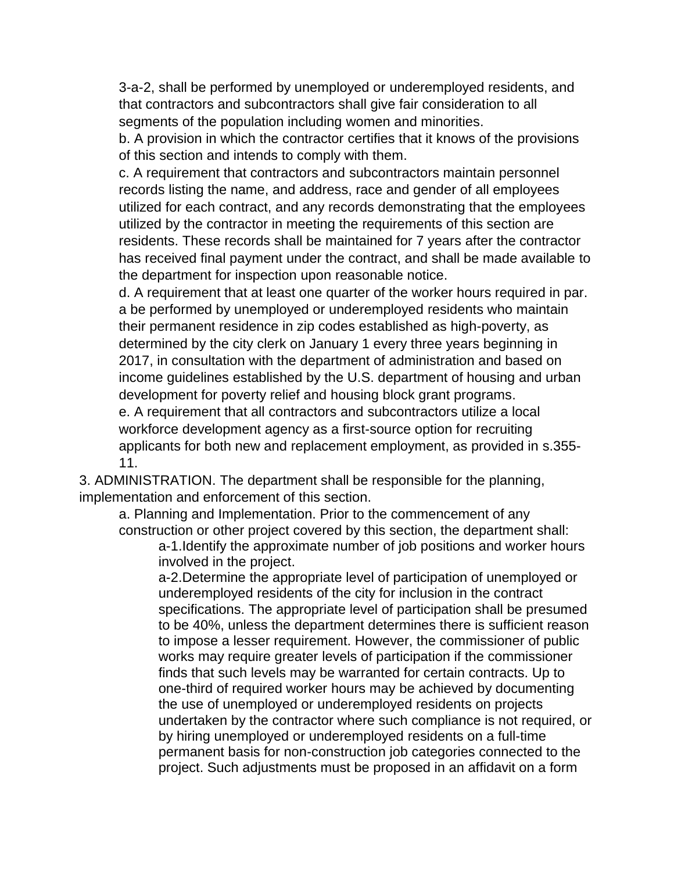3-a-2, shall be performed by unemployed or underemployed residents, and that contractors and subcontractors shall give fair consideration to all segments of the population including women and minorities.

b. A provision in which the contractor certifies that it knows of the provisions of this section and intends to comply with them.

c. A requirement that contractors and subcontractors maintain personnel records listing the name, and address, race and gender of all employees utilized for each contract, and any records demonstrating that the employees utilized by the contractor in meeting the requirements of this section are residents. These records shall be maintained for 7 years after the contractor has received final payment under the contract, and shall be made available to the department for inspection upon reasonable notice.

d. A requirement that at least one quarter of the worker hours required in par. a be performed by unemployed or underemployed residents who maintain their permanent residence in zip codes established as high-poverty, as determined by the city clerk on January 1 every three years beginning in 2017, in consultation with the department of administration and based on income guidelines established by the U.S. department of housing and urban development for poverty relief and housing block grant programs. e. A requirement that all contractors and subcontractors utilize a local

workforce development agency as a first-source option for recruiting applicants for both new and replacement employment, as provided in s.355- 11.

3. ADMINISTRATION. The department shall be responsible for the planning, implementation and enforcement of this section.

a. Planning and Implementation. Prior to the commencement of any construction or other project covered by this section, the department shall:

a-1.Identify the approximate number of job positions and worker hours involved in the project.

a-2.Determine the appropriate level of participation of unemployed or underemployed residents of the city for inclusion in the contract specifications. The appropriate level of participation shall be presumed to be 40%, unless the department determines there is sufficient reason to impose a lesser requirement. However, the commissioner of public works may require greater levels of participation if the commissioner finds that such levels may be warranted for certain contracts. Up to one-third of required worker hours may be achieved by documenting the use of unemployed or underemployed residents on projects undertaken by the contractor where such compliance is not required, or by hiring unemployed or underemployed residents on a full-time permanent basis for non-construction job categories connected to the project. Such adjustments must be proposed in an affidavit on a form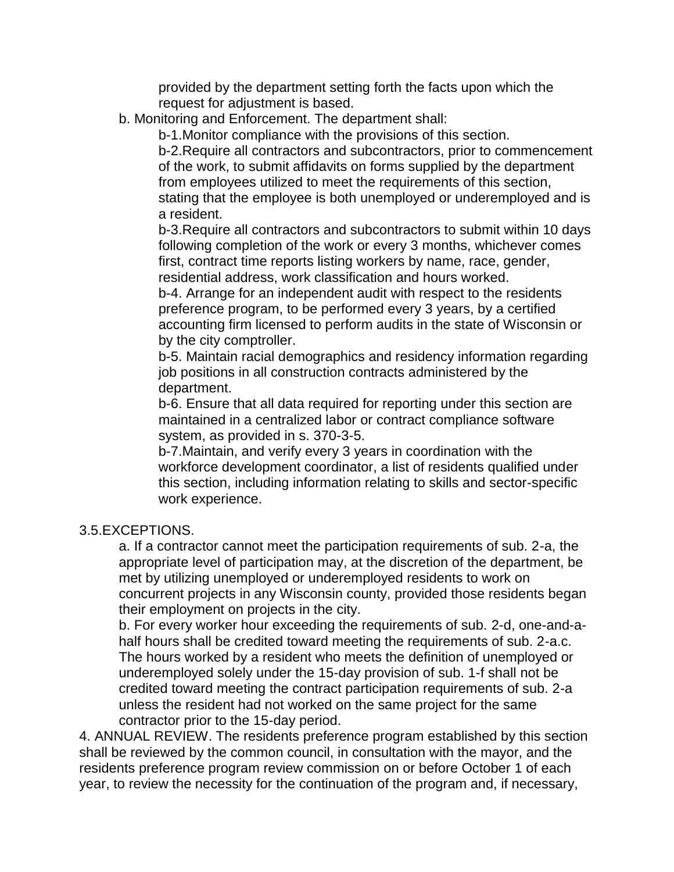provided by the department setting forth the facts upon which the request for adjustment is based.

b. Monitoring and Enforcement. The department shall:

b-1.Monitor compliance with the provisions of this section.

b-2.Require all contractors and subcontractors, prior to commencement of the work, to submit affidavits on forms supplied by the department from employees utilized to meet the requirements of this section, stating that the employee is both unemployed or underemployed and is a resident.

b-3.Require all contractors and subcontractors to submit within 10 days following completion of the work or every 3 months, whichever comes first, contract time reports listing workers by name, race, gender, residential address, work classification and hours worked.

b-4. Arrange for an independent audit with respect to the residents preference program, to be performed every 3 years, by a certified accounting firm licensed to perform audits in the state of Wisconsin or by the city comptroller.

b-5. Maintain racial demographics and residency information regarding job positions in all construction contracts administered by the department.

b-6. Ensure that all data required for reporting under this section are maintained in a centralized labor or contract compliance software system, as provided in s. 370-3-5.

b-7.Maintain, and verify every 3 years in coordination with the workforce development coordinator, a list of residents qualified under this section, including information relating to skills and sector-specific work experience.

## 3.5.EXCEPTIONS.

a. If a contractor cannot meet the participation requirements of sub. 2-a, the appropriate level of participation may, at the discretion of the department, be met by utilizing unemployed or underemployed residents to work on concurrent projects in any Wisconsin county, provided those residents began their employment on projects in the city.

b. For every worker hour exceeding the requirements of sub. 2-d, one-and-ahalf hours shall be credited toward meeting the requirements of sub. 2-a.c. The hours worked by a resident who meets the definition of unemployed or underemployed solely under the 15-day provision of sub. 1-f shall not be credited toward meeting the contract participation requirements of sub. 2-a unless the resident had not worked on the same project for the same contractor prior to the 15-day period.

4. ANNUAL REVIEW. The residents preference program established by this section shall be reviewed by the common council, in consultation with the mayor, and the residents preference program review commission on or before October 1 of each year, to review the necessity for the continuation of the program and, if necessary,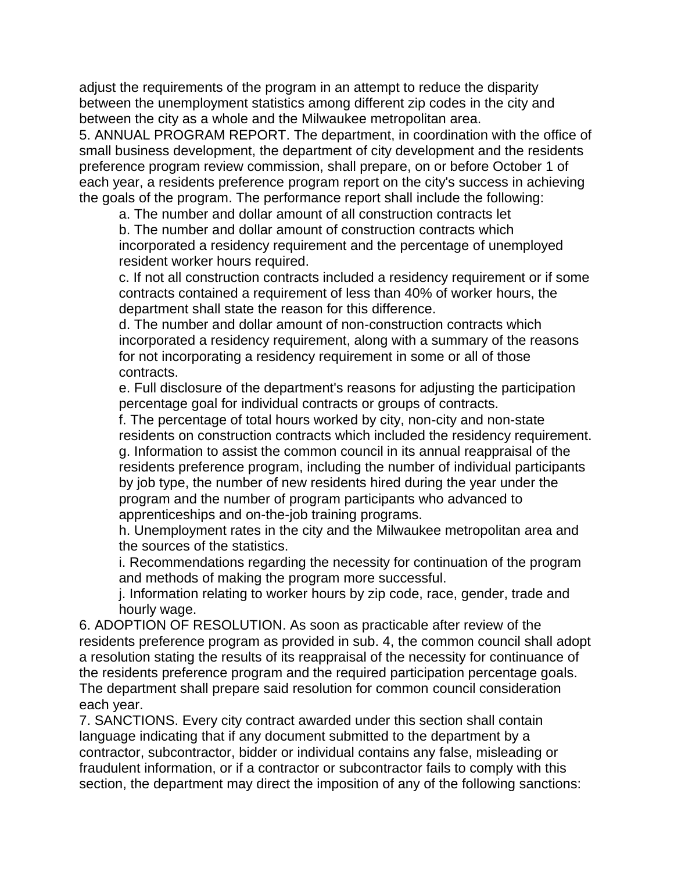adjust the requirements of the program in an attempt to reduce the disparity between the unemployment statistics among different zip codes in the city and between the city as a whole and the Milwaukee metropolitan area.

5. ANNUAL PROGRAM REPORT. The department, in coordination with the office of small business development, the department of city development and the residents preference program review commission, shall prepare, on or before October 1 of each year, a residents preference program report on the city's success in achieving the goals of the program. The performance report shall include the following:

a. The number and dollar amount of all construction contracts let

b. The number and dollar amount of construction contracts which incorporated a residency requirement and the percentage of unemployed resident worker hours required.

c. If not all construction contracts included a residency requirement or if some contracts contained a requirement of less than 40% of worker hours, the department shall state the reason for this difference.

d. The number and dollar amount of non-construction contracts which incorporated a residency requirement, along with a summary of the reasons for not incorporating a residency requirement in some or all of those contracts.

e. Full disclosure of the department's reasons for adjusting the participation percentage goal for individual contracts or groups of contracts.

f. The percentage of total hours worked by city, non-city and non-state residents on construction contracts which included the residency requirement. g. Information to assist the common council in its annual reappraisal of the residents preference program, including the number of individual participants by job type, the number of new residents hired during the year under the program and the number of program participants who advanced to apprenticeships and on-the-job training programs.

h. Unemployment rates in the city and the Milwaukee metropolitan area and the sources of the statistics.

i. Recommendations regarding the necessity for continuation of the program and methods of making the program more successful.

j. Information relating to worker hours by zip code, race, gender, trade and hourly wage.

6. ADOPTION OF RESOLUTION. As soon as practicable after review of the residents preference program as provided in sub. 4, the common council shall adopt a resolution stating the results of its reappraisal of the necessity for continuance of the residents preference program and the required participation percentage goals. The department shall prepare said resolution for common council consideration each year.

7. SANCTIONS. Every city contract awarded under this section shall contain language indicating that if any document submitted to the department by a contractor, subcontractor, bidder or individual contains any false, misleading or fraudulent information, or if a contractor or subcontractor fails to comply with this section, the department may direct the imposition of any of the following sanctions: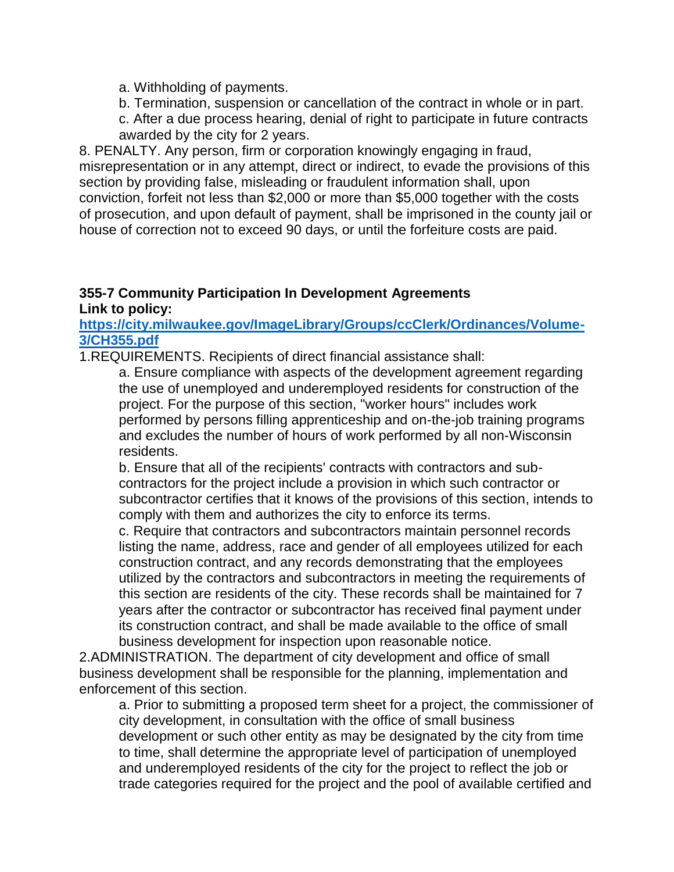a. Withholding of payments.

b. Termination, suspension or cancellation of the contract in whole or in part.

c. After a due process hearing, denial of right to participate in future contracts awarded by the city for 2 years.

8. PENALTY. Any person, firm or corporation knowingly engaging in fraud, misrepresentation or in any attempt, direct or indirect, to evade the provisions of this section by providing false, misleading or fraudulent information shall, upon conviction, forfeit not less than \$2,000 or more than \$5,000 together with the costs of prosecution, and upon default of payment, shall be imprisoned in the county jail or house of correction not to exceed 90 days, or until the forfeiture costs are paid.

## **355-7 Community Participation In Development Agreements Link to policy:**

## **[https://city.milwaukee.gov/ImageLibrary/Groups/ccClerk/Ordinances/Volume-](https://city.milwaukee.gov/ImageLibrary/Groups/ccClerk/Ordinances/Volume-3/CH355.pdf)[3/CH355.pdf](https://city.milwaukee.gov/ImageLibrary/Groups/ccClerk/Ordinances/Volume-3/CH355.pdf)**

1.REQUIREMENTS. Recipients of direct financial assistance shall:

a. Ensure compliance with aspects of the development agreement regarding the use of unemployed and underemployed residents for construction of the project. For the purpose of this section, "worker hours" includes work performed by persons filling apprenticeship and on-the-job training programs and excludes the number of hours of work performed by all non-Wisconsin residents.

b. Ensure that all of the recipients' contracts with contractors and subcontractors for the project include a provision in which such contractor or subcontractor certifies that it knows of the provisions of this section, intends to comply with them and authorizes the city to enforce its terms.

c. Require that contractors and subcontractors maintain personnel records listing the name, address, race and gender of all employees utilized for each construction contract, and any records demonstrating that the employees utilized by the contractors and subcontractors in meeting the requirements of this section are residents of the city. These records shall be maintained for 7 years after the contractor or subcontractor has received final payment under its construction contract, and shall be made available to the office of small business development for inspection upon reasonable notice.

2.ADMINISTRATION. The department of city development and office of small business development shall be responsible for the planning, implementation and enforcement of this section.

a. Prior to submitting a proposed term sheet for a project, the commissioner of city development, in consultation with the office of small business development or such other entity as may be designated by the city from time to time, shall determine the appropriate level of participation of unemployed and underemployed residents of the city for the project to reflect the job or trade categories required for the project and the pool of available certified and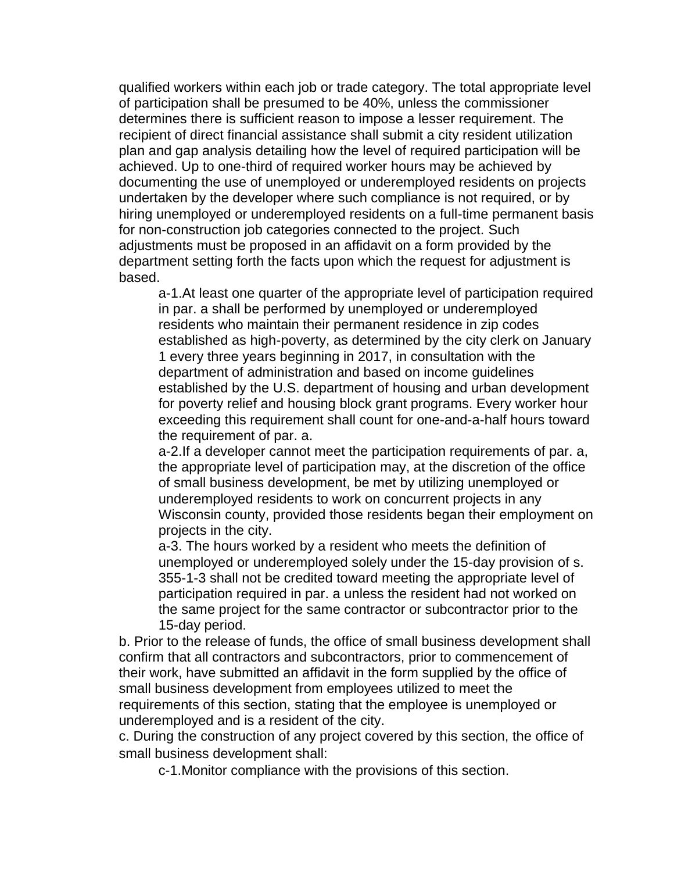qualified workers within each job or trade category. The total appropriate level of participation shall be presumed to be 40%, unless the commissioner determines there is sufficient reason to impose a lesser requirement. The recipient of direct financial assistance shall submit a city resident utilization plan and gap analysis detailing how the level of required participation will be achieved. Up to one-third of required worker hours may be achieved by documenting the use of unemployed or underemployed residents on projects undertaken by the developer where such compliance is not required, or by hiring unemployed or underemployed residents on a full-time permanent basis for non-construction job categories connected to the project. Such adjustments must be proposed in an affidavit on a form provided by the department setting forth the facts upon which the request for adjustment is based.

a-1.At least one quarter of the appropriate level of participation required in par. a shall be performed by unemployed or underemployed residents who maintain their permanent residence in zip codes established as high-poverty, as determined by the city clerk on January 1 every three years beginning in 2017, in consultation with the department of administration and based on income guidelines established by the U.S. department of housing and urban development for poverty relief and housing block grant programs. Every worker hour exceeding this requirement shall count for one-and-a-half hours toward the requirement of par. a.

a-2.If a developer cannot meet the participation requirements of par. a, the appropriate level of participation may, at the discretion of the office of small business development, be met by utilizing unemployed or underemployed residents to work on concurrent projects in any Wisconsin county, provided those residents began their employment on projects in the city.

a-3. The hours worked by a resident who meets the definition of unemployed or underemployed solely under the 15-day provision of s. 355-1-3 shall not be credited toward meeting the appropriate level of participation required in par. a unless the resident had not worked on the same project for the same contractor or subcontractor prior to the 15-day period.

b. Prior to the release of funds, the office of small business development shall confirm that all contractors and subcontractors, prior to commencement of their work, have submitted an affidavit in the form supplied by the office of small business development from employees utilized to meet the requirements of this section, stating that the employee is unemployed or underemployed and is a resident of the city.

c. During the construction of any project covered by this section, the office of small business development shall:

c-1.Monitor compliance with the provisions of this section.